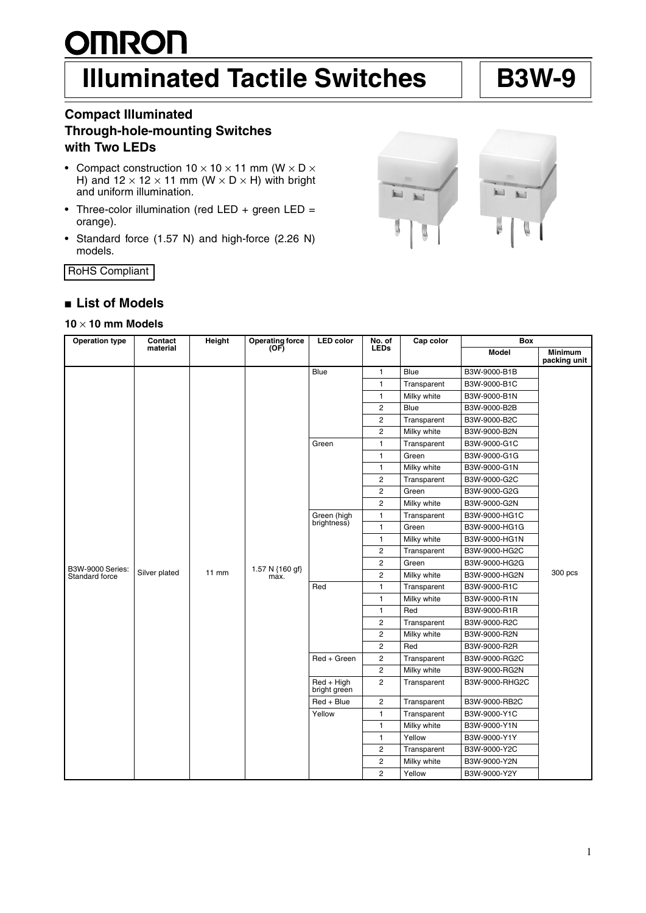# **OMRON Illuminated Tactile Switches | B3W-9**

# **Compact Illuminated Through-hole-mounting Switches with Two LEDs**

- Compact construction  $10 \times 10 \times 11$  mm (W  $\times$  D  $\times$ H) and  $12 \times 12 \times 11$  mm (W × D × H) with bright and uniform illumination.
- Three-color illumination (red LED + green LED = orange).
- Standard force (1.57 N) and high-force (2.26 N) models.

RoHS Compliant

# ■ **List of Models**

# **10** × **10 mm Models**

| <b>Operation type</b>                     | Contact       | Height  | <b>Operating force</b>  | <b>LED</b> color             | No. of                  | Cap color    | <b>Box</b>     |                         |
|-------------------------------------------|---------------|---------|-------------------------|------------------------------|-------------------------|--------------|----------------|-------------------------|
|                                           | material      |         | (OF)                    |                              | <b>LEDs</b>             |              | <b>Model</b>   | Minimum<br>packing unit |
|                                           |               |         |                         | Blue                         | $\mathbf{1}$            | Blue         | B3W-9000-B1B   |                         |
|                                           |               |         |                         |                              | 1                       | Transparent  | B3W-9000-B1C   |                         |
|                                           |               |         |                         |                              | 1                       | Milky white  | B3W-9000-B1N   |                         |
|                                           |               |         |                         |                              | $\overline{c}$          | <b>Blue</b>  | B3W-9000-B2B   |                         |
|                                           |               |         |                         |                              | $\overline{\mathbf{c}}$ | Transparent  | B3W-9000-B2C   |                         |
|                                           |               |         |                         |                              | 2                       | Milky white  | B3W-9000-B2N   |                         |
|                                           |               |         |                         | Green                        | 1                       | Transparent  | B3W-9000-G1C   |                         |
|                                           |               |         |                         |                              | 1                       | Green        | B3W-9000-G1G   |                         |
|                                           |               |         |                         |                              | 1                       | Milky white  | B3W-9000-G1N   |                         |
|                                           |               |         |                         |                              | $\overline{c}$          | Transparent  | B3W-9000-G2C   |                         |
|                                           |               |         |                         |                              | 2                       | Green        | B3W-9000-G2G   |                         |
|                                           |               |         |                         |                              | 2                       | Milky white  | B3W-9000-G2N   |                         |
|                                           |               |         |                         | Green (high                  | 1                       | Transparent  | B3W-9000-HG1C  |                         |
|                                           | Silver plated |         |                         | brightness)                  | 1                       | Green        | B3W-9000-HG1G  | 300 pcs                 |
|                                           |               | $11$ mm |                         |                              | 1                       | Milky white  | B3W-9000-HG1N  |                         |
|                                           |               |         |                         |                              | 2                       | Transparent  | B3W-9000-HG2C  |                         |
|                                           |               |         | 1.57 N {160 gf}<br>max. |                              | $\overline{\mathbf{c}}$ | Green        | B3W-9000-HG2G  |                         |
| <b>B3W-9000 Series:</b><br>Standard force |               |         |                         |                              | 2                       | Milky white  | B3W-9000-HG2N  |                         |
|                                           |               |         |                         | Red                          | 1                       | Transparent  | B3W-9000-R1C   |                         |
|                                           |               |         |                         |                              | 1                       | Milky white  | B3W-9000-R1N   |                         |
|                                           |               |         |                         |                              | 1                       | Red          | B3W-9000-R1R   |                         |
|                                           |               |         |                         |                              | 2                       | Transparent  | B3W-9000-R2C   |                         |
|                                           |               |         |                         |                              | 2                       | Milky white  | B3W-9000-R2N   |                         |
|                                           |               |         |                         |                              | 2                       | Red          | B3W-9000-R2R   |                         |
|                                           |               |         |                         | Red + Green                  | $\overline{c}$          | Transparent  | B3W-9000-RG2C  |                         |
|                                           |               |         |                         |                              | $\overline{c}$          | Milky white  | B3W-9000-RG2N  |                         |
|                                           |               |         |                         | $Red + High$<br>bright green | $\overline{c}$          | Transparent  | B3W-9000-RHG2C |                         |
|                                           |               |         |                         | $Red + Blue$                 | $\overline{\mathbf{c}}$ | Transparent  | B3W-9000-RB2C  |                         |
|                                           |               |         |                         | Yellow                       | 1                       | Transparent  | B3W-9000-Y1C   |                         |
|                                           |               |         |                         |                              | 1                       | Milky white  | B3W-9000-Y1N   |                         |
|                                           |               |         |                         |                              | 1                       | Yellow       | B3W-9000-Y1Y   |                         |
|                                           |               |         |                         |                              | $\sqrt{2}$              | Transparent  | B3W-9000-Y2C   |                         |
|                                           |               |         |                         |                              | 2                       | Milky white  | B3W-9000-Y2N   |                         |
|                                           |               |         |                         | $\overline{2}$               | Yellow                  | B3W-9000-Y2Y |                |                         |

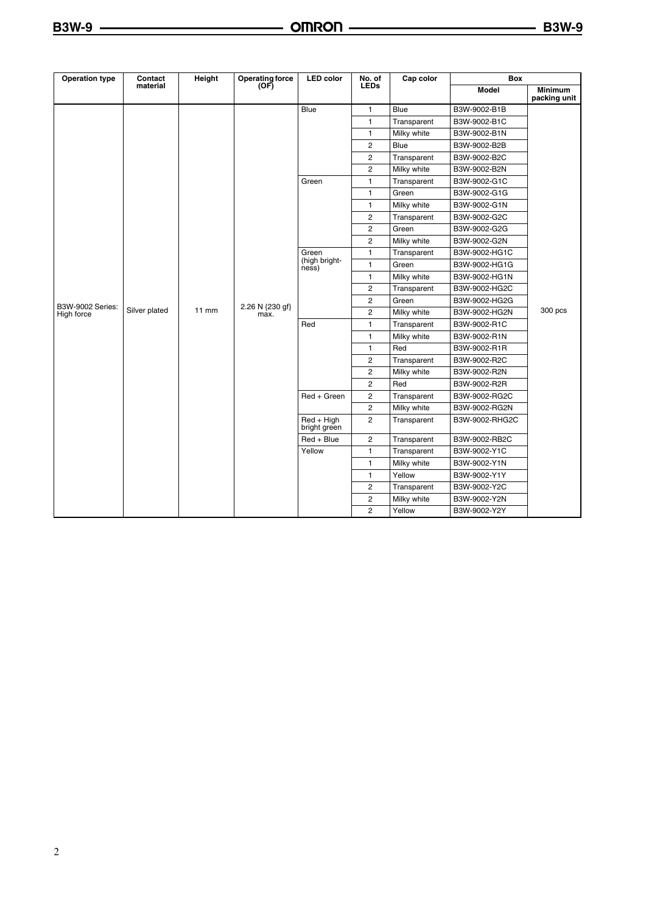| <b>Operation type</b>   | Contact       | Height  | <b>Operating force</b>  | <b>LED</b> color                | No. of         | Cap color   | <b>Box</b>     |                         |
|-------------------------|---------------|---------|-------------------------|---------------------------------|----------------|-------------|----------------|-------------------------|
|                         | material      |         | (OF)                    |                                 | <b>LEDs</b>    |             | <b>Model</b>   | Minimum<br>packing unit |
|                         |               |         |                         | Blue                            | 1              | <b>Blue</b> | B3W-9002-B1B   |                         |
|                         |               |         |                         |                                 | $\mathbf{1}$   | Transparent | B3W-9002-B1C   |                         |
|                         |               |         |                         |                                 | 1              | Milky white | B3W-9002-B1N   |                         |
|                         |               |         |                         |                                 | 2              | <b>Blue</b> | B3W-9002-B2B   |                         |
|                         |               |         |                         |                                 | 2              | Transparent | B3W-9002-B2C   |                         |
|                         |               |         |                         |                                 | 2              | Milky white | B3W-9002-B2N   |                         |
|                         |               |         |                         | Green                           | 1              | Transparent | B3W-9002-G1C   |                         |
|                         |               |         |                         |                                 | 1              | Green       | B3W-9002-G1G   |                         |
|                         |               |         |                         |                                 | $\mathbf{1}$   | Milky white | B3W-9002-G1N   |                         |
|                         |               |         |                         |                                 | 2              | Transparent | B3W-9002-G2C   |                         |
|                         |               |         |                         |                                 | 2              | Green       | B3W-9002-G2G   |                         |
|                         |               |         |                         |                                 | 2              | Milky white | B3W-9002-G2N   |                         |
|                         | Silver plated |         |                         | Green<br>(high bright-<br>ness) | 1              | Transparent | B3W-9002-HG1C  |                         |
|                         |               |         |                         |                                 | 1              | Green       | B3W-9002-HG1G  | 300 pcs                 |
|                         |               | $11$ mm |                         |                                 | $\mathbf{1}$   | Milky white | B3W-9002-HG1N  |                         |
|                         |               |         |                         |                                 | $\overline{2}$ | Transparent | B3W-9002-HG2C  |                         |
| <b>B3W-9002 Series:</b> |               |         |                         |                                 | 2              | Green       | B3W-9002-HG2G  |                         |
| High force              |               |         | 2.26 N {230 gf}<br>max. |                                 | 2              | Milky white | B3W-9002-HG2N  |                         |
|                         |               |         |                         | Red                             | 1              | Transparent | B3W-9002-R1C   |                         |
|                         |               |         |                         |                                 | 1              | Milky white | B3W-9002-R1N   |                         |
|                         |               |         |                         |                                 | 1              | Red         | B3W-9002-R1R   |                         |
|                         |               |         |                         |                                 | 2              | Transparent | B3W-9002-R2C   |                         |
|                         |               |         |                         |                                 | 2              | Milky white | B3W-9002-R2N   |                         |
|                         |               |         |                         |                                 | 2              | Red         | B3W-9002-R2R   |                         |
|                         |               |         |                         | Red + Green                     | 2              | Transparent | B3W-9002-RG2C  |                         |
|                         |               |         |                         |                                 | 2              | Milky white | B3W-9002-RG2N  |                         |
|                         |               |         |                         | $Red + High$<br>bright green    | $\overline{2}$ | Transparent | B3W-9002-RHG2C |                         |
|                         |               |         |                         | $Red + Blue$                    | 2              | Transparent | B3W-9002-RB2C  |                         |
|                         |               |         |                         | Yellow                          | $\mathbf{1}$   | Transparent | B3W-9002-Y1C   |                         |
|                         |               |         |                         |                                 | 1              | Milky white | B3W-9002-Y1N   |                         |
|                         |               |         |                         |                                 | 1              | Yellow      | B3W-9002-Y1Y   |                         |
|                         |               |         |                         |                                 | 2              | Transparent | B3W-9002-Y2C   |                         |
|                         |               |         |                         |                                 | 2              | Milky white | B3W-9002-Y2N   |                         |
|                         |               |         |                         |                                 | $\overline{c}$ | Yellow      | B3W-9002-Y2Y   |                         |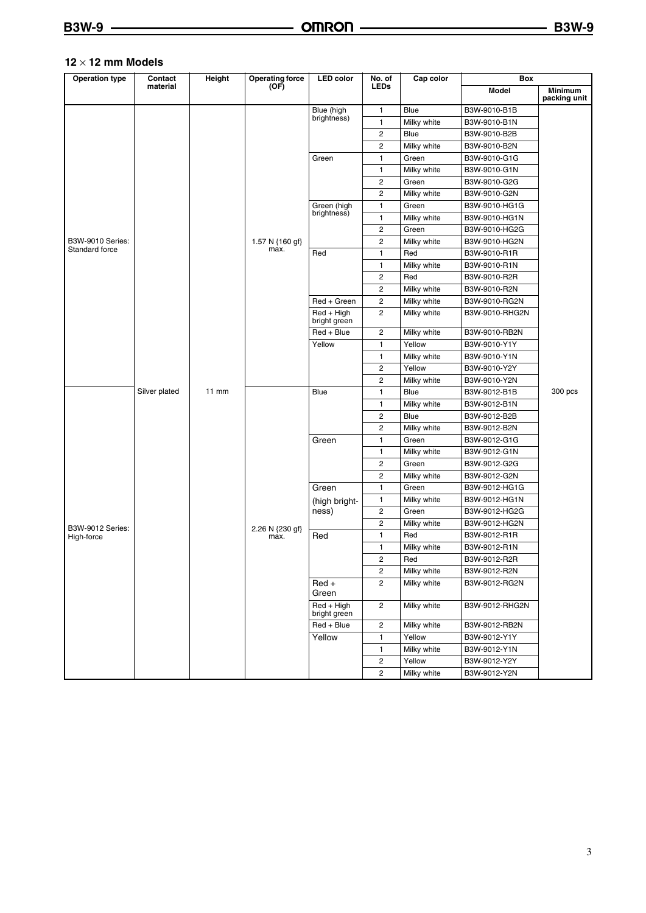#### **12** × **12 mm Models**

| <b>Operation type</b> | Contact       | Height  | <b>Operating force</b> | <b>LED</b> color             | No. of                  | Cap color   | Box            |                                |
|-----------------------|---------------|---------|------------------------|------------------------------|-------------------------|-------------|----------------|--------------------------------|
|                       | material      |         | (OF)                   |                              | <b>LEDs</b>             |             | <b>Model</b>   | <b>Minimum</b><br>packing unit |
|                       |               |         |                        | Blue (high                   | 1                       | Blue        | B3W-9010-B1B   |                                |
|                       |               |         |                        | brightness)                  | 1                       | Milky white | B3W-9010-B1N   |                                |
|                       |               |         |                        |                              | 2                       | Blue        | B3W-9010-B2B   |                                |
|                       |               |         |                        |                              | $\overline{\mathbf{c}}$ | Milky white | B3W-9010-B2N   |                                |
|                       |               |         |                        | Green                        | 1                       | Green       | B3W-9010-G1G   |                                |
|                       |               |         |                        |                              | 1                       | Milky white | B3W-9010-G1N   |                                |
|                       |               |         |                        |                              | $\overline{\mathbf{c}}$ | Green       | B3W-9010-G2G   |                                |
|                       |               |         |                        |                              | $\overline{c}$          | Milky white | B3W-9010-G2N   |                                |
|                       |               |         |                        | Green (high                  | 1                       | Green       | B3W-9010-HG1G  |                                |
|                       |               |         |                        | brightness)                  | 1                       | Milky white | B3W-9010-HG1N  |                                |
|                       |               |         |                        |                              | 2                       | Green       | B3W-9010-HG2G  |                                |
| B3W-9010 Series:      |               |         | 1.57 N {160 gf}        |                              | 2                       | Milky white | B3W-9010-HG2N  |                                |
| Standard force        |               |         | max.                   | Red                          | 1                       | Red         | B3W-9010-R1R   |                                |
|                       |               |         |                        |                              | 1                       | Milky white | B3W-9010-R1N   |                                |
|                       |               |         |                        |                              | 2                       | Red         | B3W-9010-R2R   |                                |
|                       |               |         |                        |                              | 2                       | Milky white | B3W-9010-R2N   |                                |
|                       |               |         |                        | Red + Green                  | 2                       | Milky white | B3W-9010-RG2N  |                                |
|                       |               |         |                        | $Red + High$<br>bright green | $\overline{c}$          | Milky white | B3W-9010-RHG2N |                                |
|                       |               |         |                        | Red + Blue                   | 2                       | Milky white | B3W-9010-RB2N  |                                |
|                       | Silver plated | $11$ mm |                        | Yellow                       | 1                       | Yellow      | B3W-9010-Y1Y   |                                |
|                       |               |         |                        |                              | 1                       | Milky white | B3W-9010-Y1N   | 300 pcs                        |
|                       |               |         |                        |                              | 2                       | Yellow      | B3W-9010-Y2Y   |                                |
|                       |               |         |                        |                              | $\overline{\mathbf{c}}$ | Milky white | B3W-9010-Y2N   |                                |
|                       |               |         |                        | Blue                         | 1                       | Blue        | B3W-9012-B1B   |                                |
|                       |               |         |                        |                              | 1                       | Milky white | B3W-9012-B1N   |                                |
|                       |               |         |                        |                              | $\overline{\mathbf{c}}$ | Blue        | B3W-9012-B2B   |                                |
|                       |               |         |                        |                              | 2                       | Milky white | B3W-9012-B2N   |                                |
|                       |               |         |                        | Green                        | 1                       | Green       | B3W-9012-G1G   |                                |
|                       |               |         |                        |                              | 1                       | Milky white | B3W-9012-G1N   |                                |
|                       |               |         |                        |                              | 2                       | Green       | B3W-9012-G2G   |                                |
|                       |               |         |                        |                              | 2                       | Milky white | B3W-9012-G2N   |                                |
|                       |               |         |                        | Green                        | 1                       | Green       | B3W-9012-HG1G  |                                |
|                       |               |         |                        | (high bright-<br>ness)       | 1                       | Milky white | B3W-9012-HG1N  |                                |
|                       |               |         |                        |                              | 2                       | Green       | B3W-9012-HG2G  |                                |
| B3W-9012 Series:      |               |         | 2.26 N {230 gf}        |                              | $\overline{\mathbf{c}}$ | Milky white | B3W-9012-HG2N  |                                |
| High-force            |               |         | max.                   | Red                          | 1                       | Red         | B3W-9012-R1R   |                                |
|                       |               |         |                        |                              | 1                       | Milky white | B3W-9012-R1N   |                                |
|                       |               |         |                        |                              | $\overline{c}$          | Red         | B3W-9012-R2R   |                                |
|                       |               |         |                        |                              | 2                       | Milky white | B3W-9012-R2N   |                                |
|                       |               |         |                        | $Red +$<br>Green             | $\overline{c}$          | Milky white | B3W-9012-RG2N  |                                |
|                       |               |         |                        | $Red + High$<br>bright green | $\overline{c}$          | Milky white | B3W-9012-RHG2N |                                |
|                       |               |         |                        | Red + Blue                   | 2                       | Milky white | B3W-9012-RB2N  |                                |
|                       |               |         |                        | Yellow                       | 1                       | Yellow      | B3W-9012-Y1Y   |                                |
|                       |               |         |                        |                              | 1                       | Milky white | B3W-9012-Y1N   |                                |
|                       |               |         |                        |                              | $\overline{c}$          | Yellow      | B3W-9012-Y2Y   |                                |
|                       |               |         |                        |                              | $\overline{c}$          | Milky white | B3W-9012-Y2N   |                                |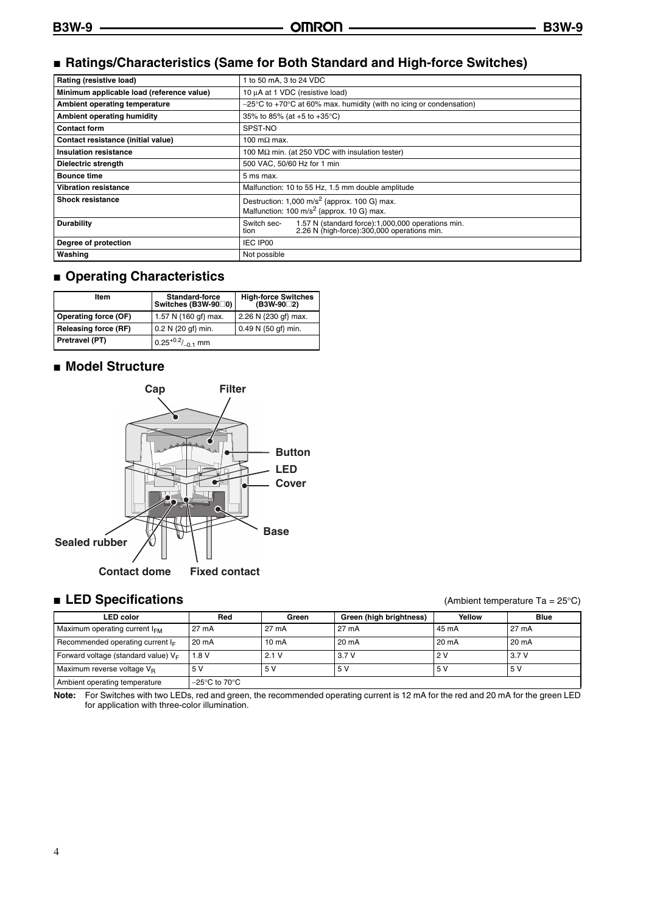# ■ Ratings/Characteristics (Same for Both Standard and High-force Switches)

| Rating (resistive load)                   | to 50 mA, 3 to 24 VDC                                                                                                    |  |  |  |  |
|-------------------------------------------|--------------------------------------------------------------------------------------------------------------------------|--|--|--|--|
| Minimum applicable load (reference value) | 10 µA at 1 VDC (resistive load)                                                                                          |  |  |  |  |
| Ambient operating temperature             | $-25^{\circ}$ C to +70 $^{\circ}$ C at 60% max. humidity (with no icing or condensation)                                 |  |  |  |  |
| Ambient operating humidity                | 35% to 85% (at +5 to +35 °C)                                                                                             |  |  |  |  |
| <b>Contact form</b>                       | SPST-NO                                                                                                                  |  |  |  |  |
| Contact resistance (initial value)        | 100 m $\Omega$ max.                                                                                                      |  |  |  |  |
| Insulation resistance                     | 100 M $\Omega$ min. (at 250 VDC with insulation tester)                                                                  |  |  |  |  |
| Dielectric strength                       | 500 VAC, 50/60 Hz for 1 min                                                                                              |  |  |  |  |
| <b>Bounce time</b>                        | 5 ms max.                                                                                                                |  |  |  |  |
| <b>Vibration resistance</b>               | Malfunction: 10 to 55 Hz, 1.5 mm double amplitude                                                                        |  |  |  |  |
| <b>Shock resistance</b>                   | Destruction: 1,000 m/s <sup>2</sup> {approx. 100 G} max.<br>Malfunction: 100 m/s <sup>2</sup> {approx. 10 G} max.        |  |  |  |  |
| <b>Durability</b>                         | Switch sec-<br>1.57 N (standard force): 1,000,000 operations min.<br>2.26 N (high-force):300,000 operations min.<br>tion |  |  |  |  |
| Degree of protection                      | IEC IP00                                                                                                                 |  |  |  |  |
| Washing                                   | Not possible                                                                                                             |  |  |  |  |

# ■ **Operating Characteristics**

| Item                        | <b>Standard-force</b><br>Switches (B3W-9000) | <b>High-force Switches</b><br>(B3W-90□2) |  |
|-----------------------------|----------------------------------------------|------------------------------------------|--|
| <b>Operating force (OF)</b> | 1.57 N {160 gf} max.                         | 2.26 N {230 qf} max.                     |  |
| <b>Releasing force (RF)</b> | $0.2 N$ {20 gf} min.                         | $0.49 N \{50 gf\}$ min.                  |  |
| <b>Pretravel (PT)</b>       | $0.25^{+0.2} /_{-0.1}$ mm                    |                                          |  |

### ■ **Model Structure**



#### ■ **LED Specifications** (Ambient temperature Ta = 25°C)

| <b>LED</b> color                       | Red                                | Green             | Green (high brightness) | Yellow | <b>Blue</b> |
|----------------------------------------|------------------------------------|-------------------|-------------------------|--------|-------------|
|                                        |                                    |                   |                         |        |             |
| Maximum operating current $I_{FM}$     | 27 mA                              | 27 mA             | 27 mA                   | 45 mA  | 27 mA       |
| Recommended operating current $I_F$    | 20 mA                              | 10 <sub>m</sub> A | 20 mA                   | 20 mA  | 20 mA       |
| Forward voltage (standard value) $V_F$ | 1.8V                               | 2.1V              | 3.7V                    | 2V     | 3.7V        |
| Maximum reverse voltage $V_{\rm B}$    | 5V                                 | 5 V               | 5 V                     | 5 V    | 5 V         |
| Ambient operating temperature          | $-25^{\circ}$ C to 70 $^{\circ}$ C |                   |                         |        |             |

**Note:** For Switches with two LEDs, red and green, the recommended operating current is 12 mA for the red and 20 mA for the green LED for application with three-color illumination.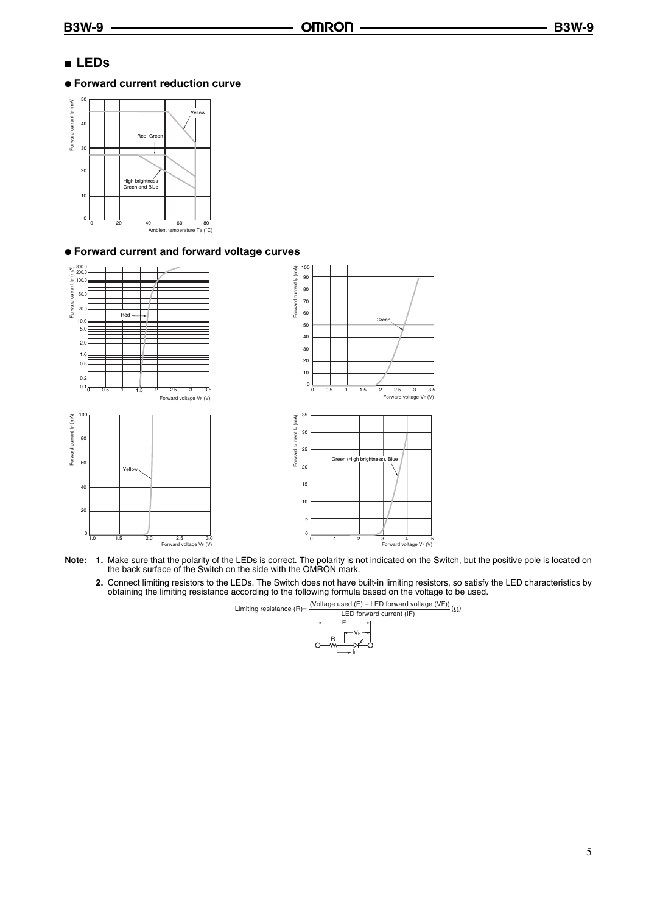# ■ **LEDs**

#### ● **Forward current reduction curve**



#### ● **Forward current and forward voltage curves**



 $1.5$  2.0

1.0 1.5 2.0 2.5 3.0<br>Forward voltage V<sub>F</sub> (V)

0





- **Note: 1.** Make sure that the polarity of the LEDs is correct. The polarity is not indicated on the Switch, but the positive pole is located on the back surface of the Switch on the side with the OMRON mark.
	- **2.** Connect limiting resistors to the LEDs. The Switch does not have built-in limiting resistors, so satisfy the LED characteristics by obtaining the limiting resistance according to the following formula based on the voltage to be used.

Limiting resistance (R)=  $\frac{\text{(Voltage used (E) - LED forward voltage (VF))}}{\text{LED forward current (IF)}}$  (Ω)

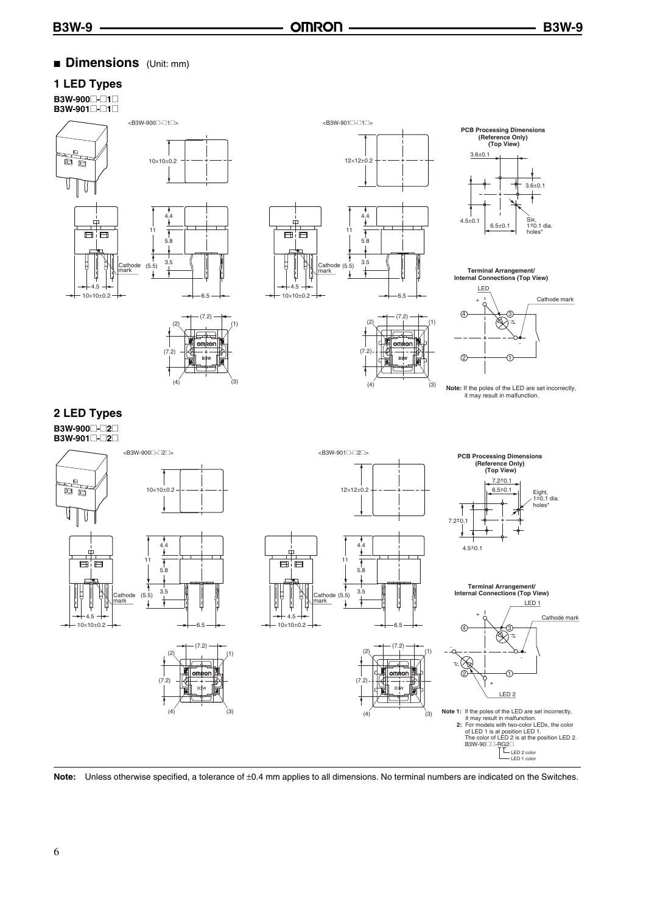# ■ **Dimensions** (Unit: mm)

#### **1 LED Types**

**B3W-900**@**-**@**1**@ **B3W-901**@**-**@**1**@



 $(2)$   $(1)$ 

ornikor

(7.2)

 $(7.2)$ 

 $(4)$   $(3)$ 



 $(7)$ 

6.5

(7.2)

 $(2)$   $(1)$ 

 $(4)$   $(3)$ 



**Terminal Arrangement/ Internal Connections (Top View)** 



**Note:** If the poles of the LED are set incorrectly,<br>it may result in malfunction.





**B3W ||╦<sup>24</sup>| B3W ||** 

4.5

**Note:** Unless otherwise specified, a tolerance of ±0.4 mm applies to all dimensions. No terminal numbers are indicated on the Switches.

#### 6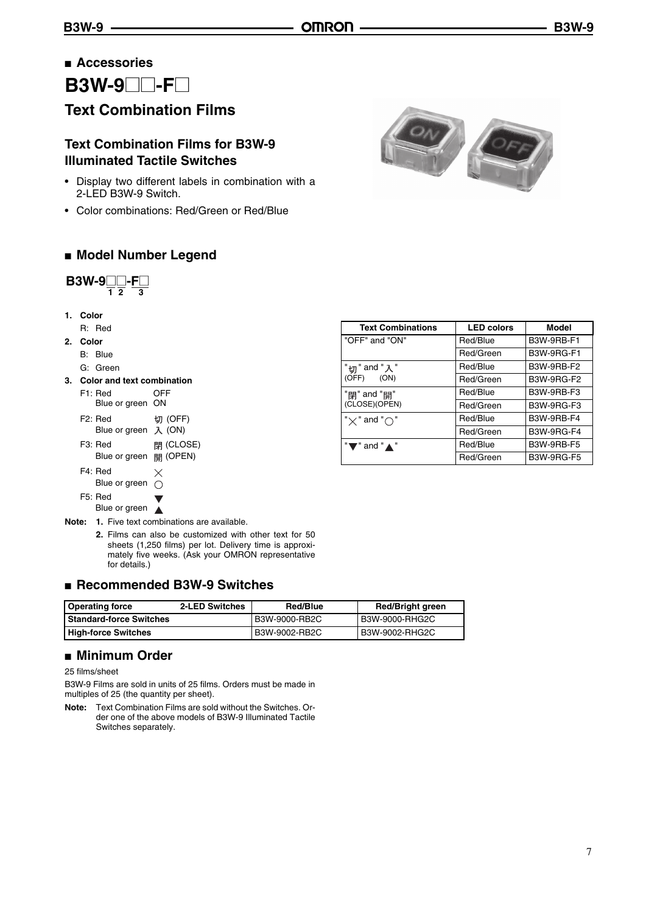# ■ **Accessories**

**B3W-9**<sup>*--F*</sup>

# **Text Combination Films**

# **Text Combination Films for B3W-9 Illuminated Tactile Switches**

- Display two different labels in combination with a 2-LED B3W-9 Switch.
- Color combinations: Red/Green or Red/Blue

### ■ **Model Number Legend**

$$
B3W-9\underset{1}{\square}\underset{2}{\square}-F\underset{3}{\square}
$$

**1. Color**

R: Red

- **2. Color**
	- B: Blue
	- G: Green
- **3. Color and text combination**
	- F1: Red OFF Blue or green ON F2: Red 切 (OFF)
	- Blue or green  $\lambda$  (ON) F3: Red <br> **閉** (CLOSE) Blue or green 開 (OPEN)
	- F4: Red  $\times$ Blue or green  $\bigcirc$ F5: Red
	- Blue or green
- **Note: 1.** Five text combinations are available.
	- **2.** Films can also be customized with other text for 50 sheets (1,250 films) per lot. Delivery time is approximately five weeks. (Ask your OMRON representative for details.)

### ■ **Recommended B3W-9 Switches**

| 2-LED Switches<br><b>Operating force</b> |  | Red/Blue      | <b>Red/Bright green</b> |
|------------------------------------------|--|---------------|-------------------------|
| l Standard-force Switches                |  | B3W-9000-RB2C | B3W-9000-RHG2C          |
| <b>High-force Switches</b>               |  | B3W-9002-RB2C | B3W-9002-RHG2C          |

#### ■ **Minimum Order**

25 films/sheet

B3W-9 Films are sold in units of 25 films. Orders must be made in multiples of 25 (the quantity per sheet).

**Note:** Text Combination Films are sold without the Switches. Order one of the above models of B3W-9 Illuminated Tactile Switches separately.



| <b>LED colors</b> | Model             |
|-------------------|-------------------|
| Red/Blue          | B3W-9RB-F1        |
| Red/Green         | <b>B3W-9RG-F1</b> |
| Red/Blue          | B3W-9RB-F2        |
| Red/Green         | <b>B3W-9RG-F2</b> |
| Red/Blue          | B3W-9RB-F3        |
| Red/Green         | <b>B3W-9RG-F3</b> |
| Red/Blue          | B3W-9RB-F4        |
| Red/Green         | <b>B3W-9RG-F4</b> |
| Red/Blue          | <b>B3W-9RB-F5</b> |
| Red/Green         | <b>B3W-9RG-F5</b> |
|                   |                   |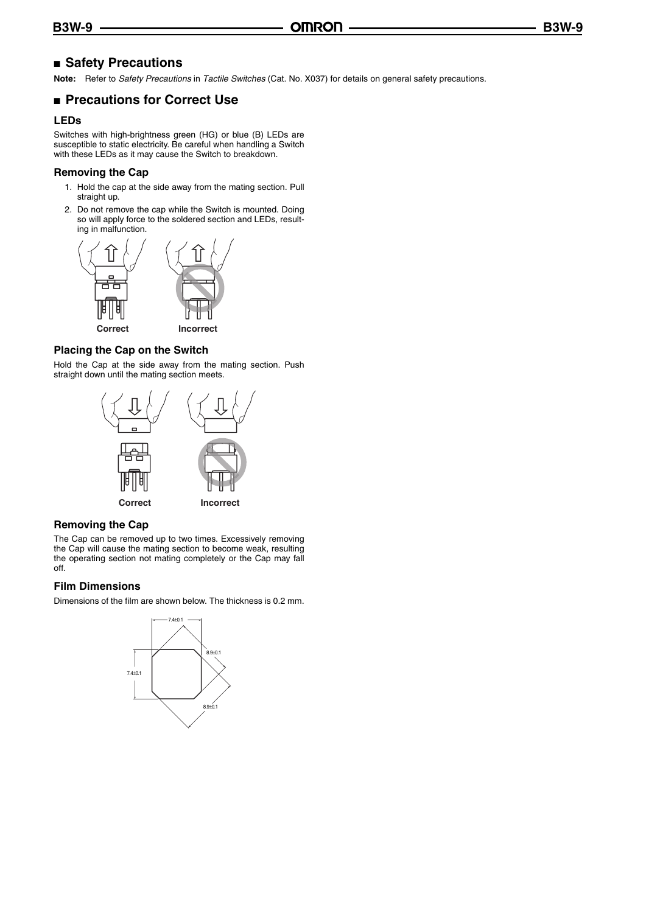### ■ **Safety Precautions**

**Note:** Refer to *Safety Precautions* in *Tactile Switches* (Cat. No. X037) for details on general safety precautions.

#### ■ **Precautions for Correct Use**

#### **LEDs**

Switches with high-brightness green (HG) or blue (B) LEDs are susceptible to static electricity. Be careful when handling a Switch with these LEDs as it may cause the Switch to breakdown.

#### **Removing the Cap**

- 1. Hold the cap at the side away from the mating section. Pull straight up.
- 2. Do not remove the cap while the Switch is mounted. Doing so will apply force to the soldered section and LEDs, resulting in malfunction.



#### **Placing the Cap on the Switch**

Hold the Cap at the side away from the mating section. Push straight down until the mating section meets.



#### **Removing the Cap**

The Cap can be removed up to two times. Excessively removing the Cap will cause the mating section to become weak, resulting the operating section not mating completely or the Cap may fall off.

#### **Film Dimensions**

Dimensions of the film are shown below. The thickness is 0.2 mm.